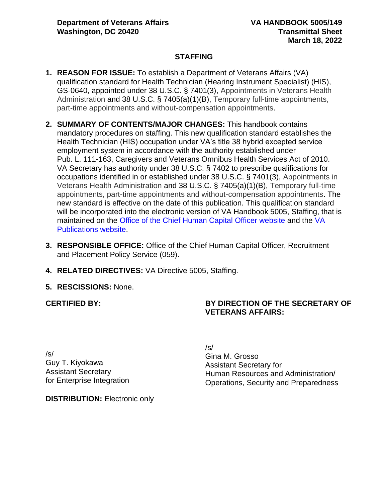# **STAFFING**

- **1. REASON FOR ISSUE:** To establish a Department of Veterans Affairs (VA) qualification standard for Health Technician (Hearing Instrument Specialist) (HIS), GS-0640, appointed under 38 U.S.C. § 7401(3), Appointments in Veterans Health Administration and 38 U.S.C. § 7405(a)(1)(B), Temporary full-time appointments, part-time appointments and without-compensation appointments.
- **2. SUMMARY OF CONTENTS/MAJOR CHANGES:** This handbook contains mandatory procedures on staffing. This new qualification standard establishes the Health Technician (HIS) occupation under VA's title 38 hybrid excepted service employment system in accordance with the authority established under Pub. L. 111-163, Caregivers and Veterans Omnibus Health Services Act of 2010. VA Secretary has authority under 38 U.S.C. § 7402 to prescribe qualifications for occupations identified in or established under 38 U.S.C. § 7401(3), Appointments in Veterans Health Administration and 38 U.S.C. § 7405(a)(1)(B), Temporary full-time appointments, part-time appointments and without-compensation appointments. The new standard is effective on the date of this publication. This qualification standard will be incorporated into the electronic version of VA Handbook 5005, Staffing, that is maintained on the [Office of the Chief Human Capital Officer website](http://vaww1.va.gov/ohrm/HRLibrary/HRLibrary/HRLibrary.htm) and the [VA](https://vaww.va.gov/vapubs/search_action.cfm?dType=1)  [Publications website.](https://vaww.va.gov/vapubs/search_action.cfm?dType=1)
- **3. RESPONSIBLE OFFICE:** Office of the Chief Human Capital Officer, Recruitment and Placement Policy Service (059).
- **4. RELATED DIRECTIVES:** VA Directive 5005, Staffing.
- **5. RESCISSIONS:** None.

**CERTIFIED BY:**

### **BY DIRECTION OF THE SECRETARY OF VETERANS AFFAIRS:**

/s/ Guy T. Kiyokawa Assistant Secretary for Enterprise Integration /s/ Gina M. Grosso Assistant Secretary for Human Resources and Administration/ Operations, Security and Preparedness

**DISTRIBUTION:** Electronic only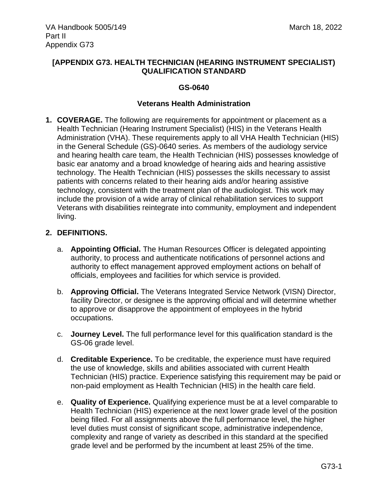### **[APPENDIX G73. HEALTH TECHNICIAN (HEARING INSTRUMENT SPECIALIST) QUALIFICATION STANDARD**

### **GS-0640**

### **Veterans Health Administration**

**1. COVERAGE.** The following are requirements for appointment or placement as a Health Technician (Hearing Instrument Specialist) (HIS) in the Veterans Health Administration (VHA). These requirements apply to all VHA Health Technician (HIS) in the General Schedule (GS)-0640 series. As members of the audiology service and hearing health care team, the Health Technician (HIS) possesses knowledge of basic ear anatomy and a broad knowledge of hearing aids and hearing assistive technology. The Health Technician (HIS) possesses the skills necessary to assist patients with concerns related to their hearing aids and/or hearing assistive technology, consistent with the treatment plan of the audiologist. This work may include the provision of a wide array of clinical rehabilitation services to support Veterans with disabilities reintegrate into community, employment and independent living.

### **2. DEFINITIONS.**

- a. **Appointing Official.** The Human Resources Officer is delegated appointing authority, to process and authenticate notifications of personnel actions and authority to effect management approved employment actions on behalf of officials, employees and facilities for which service is provided.
- b. **Approving Official.** The Veterans Integrated Service Network (VISN) Director, facility Director, or designee is the approving official and will determine whether to approve or disapprove the appointment of employees in the hybrid occupations.
- c. **Journey Level.** The full performance level for this qualification standard is the GS-06 grade level.
- d. **Creditable Experience.** To be creditable, the experience must have required the use of knowledge, skills and abilities associated with current Health Technician (HIS) practice. Experience satisfying this requirement may be paid or non-paid employment as Health Technician (HIS) in the health care field.
- e. **Quality of Experience.** Qualifying experience must be at a level comparable to Health Technician (HIS) experience at the next lower grade level of the position being filled. For all assignments above the full performance level, the higher level duties must consist of significant scope, administrative independence, complexity and range of variety as described in this standard at the specified grade level and be performed by the incumbent at least 25% of the time.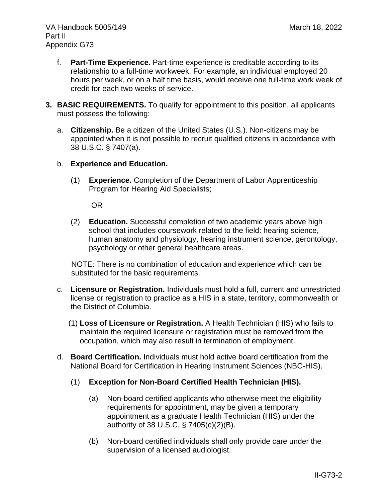- f. **Part-Time Experience.** Part-time experience is creditable according to its relationship to a full-time workweek. For example, an individual employed 20 hours per week, or on a half time basis, would receive one full-time work week of credit for each two weeks of service.
- **3. BASIC REQUIREMENTS.** To qualify for appointment to this position, all applicants must possess the following:
	- a. **Citizenship.** Be a citizen of the United States (U.S.). Non-citizens may be appointed when it is not possible to recruit qualified citizens in accordance with 38 U.S.C. § 7407(a).
	- b. **Experience and Education.**
		- (1) **Experience.** Completion of the Department of Labor Apprenticeship Program for Hearing Aid Specialists;

OR

(2) **Education.** Successful completion of two academic years above high school that includes coursework related to the field: hearing science, human anatomy and physiology, hearing instrument science, gerontology, psychology or other general healthcare areas.

NOTE: There is no combination of education and experience which can be substituted for the basic requirements.

- c. **Licensure or Registration.** Individuals must hold a full, current and unrestricted license or registration to practice as a HIS in a state, territory, commonwealth or the District of Columbia.
	- (1) **Loss of Licensure or Registration.** A Health Technician (HIS) who fails to maintain the required licensure or registration must be removed from the occupation, which may also result in termination of employment.
- d. **Board Certification.** Individuals must hold active board certification from the National Board for Certification in Hearing Instrument Sciences (NBC-HIS).
	- (1) **Exception for Non-Board Certified Health Technician (HIS).**
		- (a) Non-board certified applicants who otherwise meet the eligibility requirements for appointment, may be given a temporary appointment as a graduate Health Technician (HIS) under the authority of 38 U.S.C. § 7405(c)(2)(B).
		- (b) Non-board certified individuals shall only provide care under the supervision of a licensed audiologist.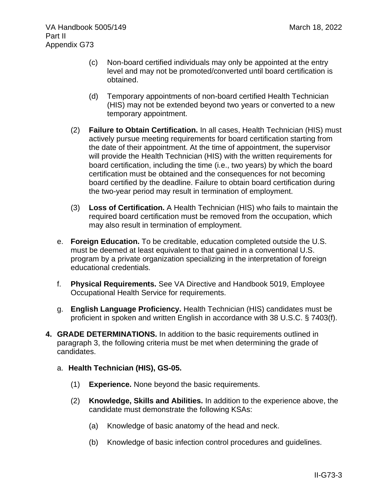- (c) Non-board certified individuals may only be appointed at the entry level and may not be promoted/converted until board certification is obtained.
- (d) Temporary appointments of non-board certified Health Technician (HIS) may not be extended beyond two years or converted to a new temporary appointment.
- (2) **Failure to Obtain Certification.** In all cases, Health Technician (HIS) must actively pursue meeting requirements for board certification starting from the date of their appointment. At the time of appointment, the supervisor will provide the Health Technician (HIS) with the written requirements for board certification, including the time (i.e., two years) by which the board certification must be obtained and the consequences for not becoming board certified by the deadline. Failure to obtain board certification during the two-year period may result in termination of employment.
- (3) **Loss of Certification.** A Health Technician (HIS) who fails to maintain the required board certification must be removed from the occupation, which may also result in termination of employment.
- e. **Foreign Education.** To be creditable, education completed outside the U.S. must be deemed at least equivalent to that gained in a conventional U.S. program by a private organization specializing in the interpretation of foreign educational credentials.
- f. **Physical Requirements.** See VA Directive and Handbook 5019, Employee Occupational Health Service for requirements.
- g. **English Language Proficiency.** Health Technician (HIS) candidates must be proficient in spoken and written English in accordance with 38 U.S.C. § 7403(f).
- **4. GRADE DETERMINATIONS.** In addition to the basic requirements outlined in paragraph 3, the following criteria must be met when determining the grade of candidates.
	- a. **Health Technician (HIS), GS-05.**
		- (1) **Experience.** None beyond the basic requirements.
		- (2) **Knowledge, Skills and Abilities.** In addition to the experience above, the candidate must demonstrate the following KSAs:
			- (a) Knowledge of basic anatomy of the head and neck.
			- (b) Knowledge of basic infection control procedures and guidelines.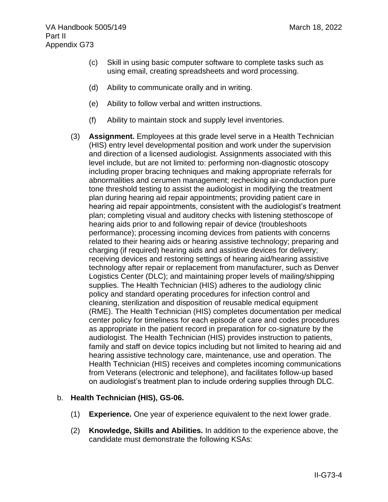- (c) Skill in using basic computer software to complete tasks such as using email, creating spreadsheets and word processing.
- (d) Ability to communicate orally and in writing.
- (e) Ability to follow verbal and written instructions.
- (f) Ability to maintain stock and supply level inventories.
- (3) **Assignment.** Employees at this grade level serve in a Health Technician (HIS) entry level developmental position and work under the supervision and direction of a licensed audiologist. Assignments associated with this level include, but are not limited to: performing non-diagnostic otoscopy including proper bracing techniques and making appropriate referrals for abnormalities and cerumen management; rechecking air-conduction pure tone threshold testing to assist the audiologist in modifying the treatment plan during hearing aid repair appointments; providing patient care in hearing aid repair appointments, consistent with the audiologist's treatment plan; completing visual and auditory checks with listening stethoscope of hearing aids prior to and following repair of device (troubleshoots performance); processing incoming devices from patients with concerns related to their hearing aids or hearing assistive technology; preparing and charging (if required) hearing aids and assistive devices for delivery; receiving devices and restoring settings of hearing aid/hearing assistive technology after repair or replacement from manufacturer, such as Denver Logistics Center (DLC); and maintaining proper levels of mailing/shipping supplies. The Health Technician (HIS) adheres to the audiology clinic policy and standard operating procedures for infection control and cleaning, sterilization and disposition of reusable medical equipment (RME). The Health Technician (HIS) completes documentation per medical center policy for timeliness for each episode of care and codes procedures as appropriate in the patient record in preparation for co-signature by the audiologist. The Health Technician (HIS) provides instruction to patients, family and staff on device topics including but not limited to hearing aid and hearing assistive technology care, maintenance, use and operation. The Health Technician (HIS) receives and completes incoming communications from Veterans (electronic and telephone), and facilitates follow-up based on audiologist's treatment plan to include ordering supplies through DLC.

### b. **Health Technician (HIS), GS-06.**

- (1) **Experience.** One year of experience equivalent to the next lower grade.
- (2) **Knowledge, Skills and Abilities.** In addition to the experience above, the candidate must demonstrate the following KSAs: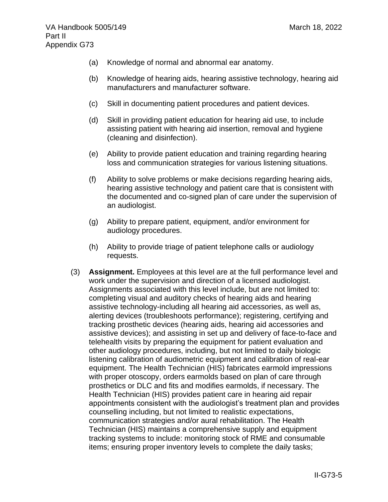- (a) Knowledge of normal and abnormal ear anatomy.
- (b) Knowledge of hearing aids, hearing assistive technology, hearing aid manufacturers and manufacturer software.
- (c) Skill in documenting patient procedures and patient devices.
- (d) Skill in providing patient education for hearing aid use, to include assisting patient with hearing aid insertion, removal and hygiene (cleaning and disinfection).
- (e) Ability to provide patient education and training regarding hearing loss and communication strategies for various listening situations.
- (f) Ability to solve problems or make decisions regarding hearing aids, hearing assistive technology and patient care that is consistent with the documented and co-signed plan of care under the supervision of an audiologist.
- (g) Ability to prepare patient, equipment, and/or environment for audiology procedures.
- (h) Ability to provide triage of patient telephone calls or audiology requests.
- (3) **Assignment.** Employees at this level are at the full performance level and work under the supervision and direction of a licensed audiologist. Assignments associated with this level include, but are not limited to: completing visual and auditory checks of hearing aids and hearing assistive technology-including all hearing aid accessories, as well as, alerting devices (troubleshoots performance); registering, certifying and tracking prosthetic devices (hearing aids, hearing aid accessories and assistive devices); and assisting in set up and delivery of face-to-face and telehealth visits by preparing the equipment for patient evaluation and other audiology procedures, including, but not limited to daily biologic listening calibration of audiometric equipment and calibration of real-ear equipment. The Health Technician (HIS) fabricates earmold impressions with proper otoscopy, orders earmolds based on plan of care through prosthetics or DLC and fits and modifies earmolds, if necessary. The Health Technician (HIS) provides patient care in hearing aid repair appointments consistent with the audiologist's treatment plan and provides counselling including, but not limited to realistic expectations, communication strategies and/or aural rehabilitation. The Health Technician (HIS) maintains a comprehensive supply and equipment tracking systems to include: monitoring stock of RME and consumable items; ensuring proper inventory levels to complete the daily tasks;